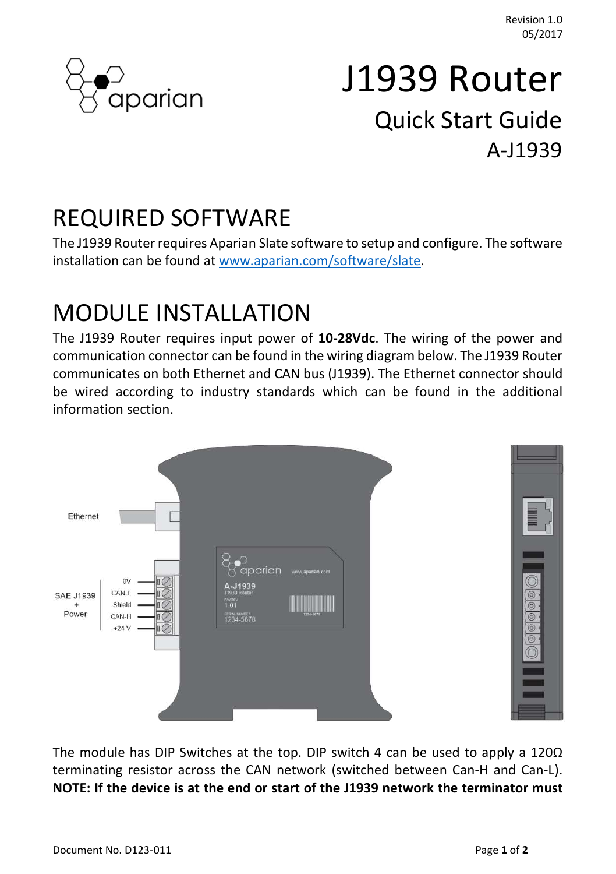

# J1939 Router Quick Start Guide A-J1939

#### REQUIRED SOFTWARE

The J1939 Router requires Aparian Slate software to setup and configure. The software installation can be found at www.aparian.com/software/slate.

## MODULE INSTALLATION

The J1939 Router requires input power of 10-28Vdc. The wiring of the power and communication connector can be found in the wiring diagram below. The J1939 Router communicates on both Ethernet and CAN bus (J1939). The Ethernet connector should be wired according to industry standards which can be found in the additional information section.



The module has DIP Switches at the top. DIP switch 4 can be used to apply a 120Ω terminating resistor across the CAN network (switched between Can-H and Can-L). NOTE: If the device is at the end or start of the J1939 network the terminator must